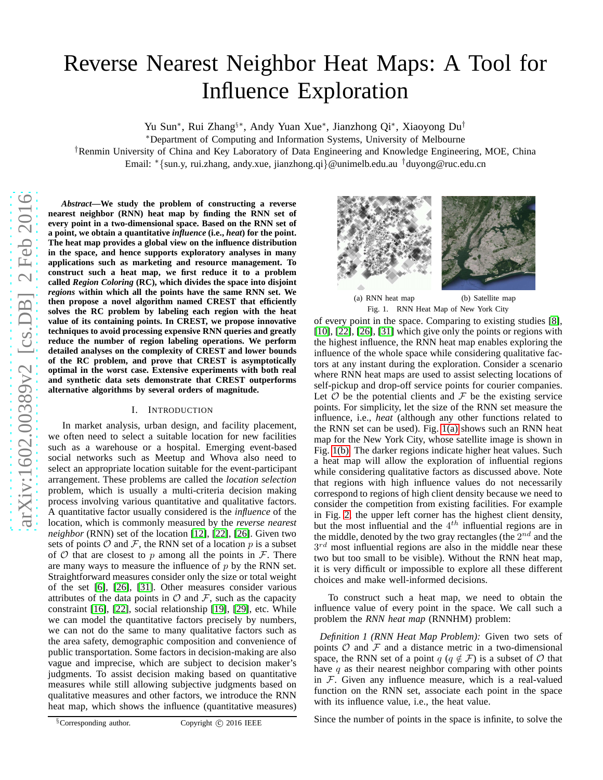# Reverse Nearest Neighbor Heat Maps: A Tool for Influence Exploration

Yu Sun<sup>\*</sup>, Rui Zhang<sup>§\*</sup>, Andy Yuan Xue<sup>\*</sup>, Jianzhong Qi<sup>\*</sup>, Xiaoyong Du<sup>†</sup>

<sup>∗</sup>Department of Computing and Information Systems, University of Melbourne

†Renmin University of China and Key Laboratory of Data Engineering and Knowledge Engineering, MOE, China

Email: ∗ {sun.y, rui.zhang, andy.xue, jianzhong.qi }@unimelb.edu.au †duyong@ruc.edu.cn

*Abstract***—We study the problem of constructing a reverse nearest neighbor (RNN) heat map by finding the RNN set of every point in a two-dimensional space. Based on the RNN set o f a point, we obtain a quantitative** *influence* **(i.e.,** *heat***) for the point. The heat map provides a global view on the influence distribution in the space, and hence supports exploratory analyses in man y applications such as marketing and resource management. To construct such a heat map, we first reduce it to a problem called** *Region Coloring* **(RC), which divides the space into disjoint** *regions* **within which all the points have the same RNN set. We then propose a novel algorithm named CREST that efficiently solves the RC problem by labeling each region with the heat value of its containing points. In CREST, we propose innovative techniques to avoid processing expensive RNN queries and greatly reduce the number of region labeling operations. We perform detailed analyses on the complexity of CREST and lower bound s of the RC problem, and prove that CREST is asymptotically optimal in the worst case. Extensive experiments with both real and synthetic data sets demonstrate that CREST outperforms alternative algorithms by several orders of magnitude.**

## I. INTRODUCTION

<span id="page-0-2"></span>In market analysis, urban design, and facility placement, we often need to select a suitable location for new facilitie s such as a warehouse or a hospital. Emerging event-based social networks such as Meetup and Whova also need to select an appropriate location suitable for the event-participant arrangement. These problems are called the *location selection* problem, which is usually a multi-criteria decision making process involving various quantitative and qualitative factors. A quantitative factor usually considered is the *influence* of the location, which is commonly measured by the *reverse nearest neighbor* (RNN) set of the location [\[12\]](#page-11-0), [\[22\]](#page-11-1), [\[26\]](#page-11-2). Given two sets of points  $O$  and  $F$ , the RNN set of a location  $p$  is a subset of  $O$  that are closest to  $p$  among all the points in  $F$ . There are many ways to measure the influence of  $p$  by the RNN set. Straightforward measures consider only the size or total weight of the set [\[6\]](#page-11-3), [\[26\]](#page-11-2), [\[31\]](#page-11-4). Other measures consider various attributes of the data points in  $\mathcal O$  and  $\mathcal F$ , such as the capacity constraint [\[16\]](#page-11-5), [\[22\]](#page-11-1), social relationship [\[19\]](#page-11-6), [\[29\]](#page-11-7), etc. While we can model the quantitative factors precisely by numbers, we can not do the same to many qualitative factors such as the area safety, demographic composition and convenience o f public transportation. Some factors in decision-making are also vague and imprecise, which are subject to decision maker's judgments. To assist decision making based on quantitative measures while still allowing subjective judgments based o n qualitative measures and other factors, we introduce the RN N heat map, which shows the influence (quantitative measures)

<span id="page-0-0"></span>

<span id="page-0-1"></span>(a) RNN heat map (b) Satellite map Fig. 1. RNN Heat Map of New York City

of every point in the space. Comparing to existing studies [\[8\]](#page-11-8), [\[10\]](#page-11-9), [\[22\]](#page-11-1), [\[26\]](#page-11-2), [\[31\]](#page-11-4) which give only the points or regions with the highest influence, the RNN heat map enables exploring the influence of the whole space while considering qualitative factors at any instant during the exploration. Consider a scenario where RNN heat maps are used to assist selecting locations of self-pickup and drop-off service points for courier companies. Let  $\mathcal O$  be the potential clients and  $\mathcal F$  be the existing service points. For simplicity, let the size of the RNN set measure th e influence, i.e., *heat* (although any other functions related to the RNN set can be used). Fig. [1\(a\)](#page-0-0) shows such an RNN heat map for the New York City, whose satellite image is shown in Fig. [1\(b\).](#page-0-1) The darker regions indicate higher heat values. Such a heat map will allow the exploration of influential regions while considering qualitative factors as discussed above. Note that regions with high influence values do not necessarily correspond to regions of high client density because we need to consider the competition from existing facilities. For example in Fig. [2,](#page-1-0) the upper left corner has the highest client density, but the most influential and the  $4^{th}$  influential regions are in the middle, denoted by the two gray rectangles (the  $2^{nd}$  and the  $3^{rd}$  most influential regions are also in the middle near these two but too small to be visible). Without the RNN heat map, it is very difficult or impossible to explore all these different choices and make well-informed decisions.

To construct such a heat map, we need to obtain the influence value of every point in the space. We call such a problem the *RNN heat map* (RNNHM) problem:

*Definition 1 (RNN Heat Map Problem):* Given two sets of points  $O$  and  $F$  and a distance metric in a two-dimensional space, the RNN set of a point  $q$  ( $q \notin \mathcal{F}$ ) is a subset of  $\mathcal{O}$  that have  $q$  as their nearest neighbor comparing with other points in  $F$ . Given any influence measure, which is a real-valued function on the RNN set, associate each point in the space with its influence value, i.e., the heat value.

Since the number of points in the space is infinite, to solve th e

 $\S$ Corresponding author. Copyright ( $\hat{C}$ ) 2016 IEEE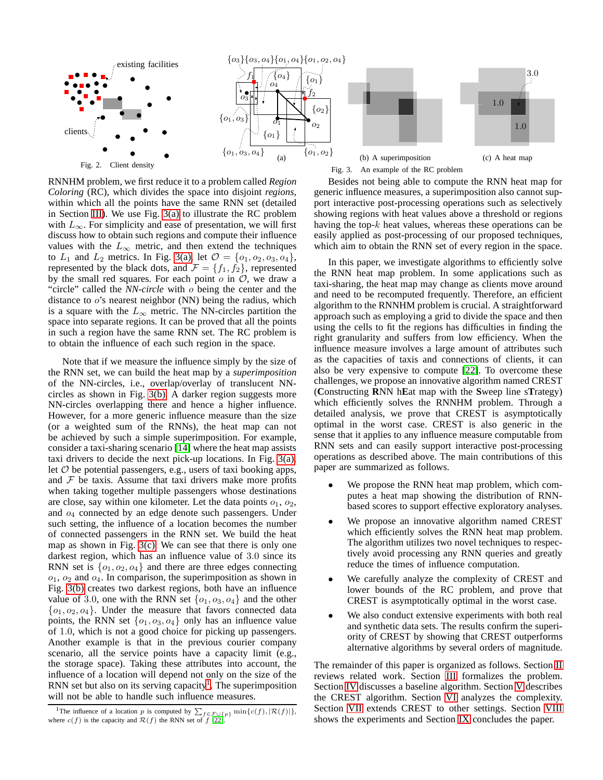<span id="page-1-1"></span>

<span id="page-1-0"></span>RNNHM problem, we first reduce it to a problem called *Region Coloring* (RC), which divides the space into disjoint *regions*, within which all the points have the same RNN set (detailed in Section [III\)](#page-2-0). We use Fig. [3\(a\)](#page-1-1) to illustrate the RC problem with  $L_{\infty}$ . For simplicity and ease of presentation, we will first discuss how to obtain such regions and compute their influence values with the  $L_{\infty}$  metric, and then extend the techniques to  $L_1$  and  $L_2$  metrics. In Fig. [3\(a\),](#page-1-1) let  $\mathcal{O} = \{o_1, o_2, o_3, o_4\},\$ represented by the black dots, and  $\mathcal{F} = \{f_1, f_2\}$ , represented by the small red squares. For each point  $o$  in  $O$ , we draw a "circle" called the *NN-circle* with o being the center and the distance to  $o$ 's nearest neighbor (NN) being the radius, which is a square with the  $L_{\infty}$  metric. The NN-circles partition the space into separate regions. It can be proved that all the points in such a region have the same RNN set. The RC problem is to obtain the influence of each such region in the space.

Note that if we measure the influence simply by the size of the RNN set, we can build the heat map by a *superimposition* of the NN-circles, i.e., overlap/overlay of translucent NNcircles as shown in Fig. [3\(b\).](#page-1-2) A darker region suggests more NN-circles overlapping there and hence a higher influence. However, for a more generic influence measure than the size (or a weighted sum of the RNNs), the heat map can not be achieved by such a simple superimposition. For example, consider a taxi-sharing scenario [\[14\]](#page-11-10) where the heat map assists taxi drivers to decide the next pick-up locations. In Fig. [3\(a\),](#page-1-1) let  $O$  be potential passengers, e.g., users of taxi booking apps, and  $F$  be taxis. Assume that taxi drivers make more profits when taking together multiple passengers whose destinations are close, say within one kilometer. Let the data points  $o_1$ ,  $o_2$ , and  $o_4$  connected by an edge denote such passengers. Under such setting, the influence of a location becomes the number of connected passengers in the RNN set. We build the heat map as shown in Fig. [3\(c\).](#page-1-3) We can see that there is only one darkest region, which has an influence value of 3.0 since its RNN set is  $\{o_1, o_2, o_4\}$  and there are three edges connecting  $o_1$ ,  $o_2$  and  $o_4$ . In comparison, the superimposition as shown in Fig. [3\(b\)](#page-1-2) creates two darkest regions, both have an influence value of 3.0, one with the RNN set  $\{o_1, o_3, o_4\}$  and the other  ${o_1, o_2, o_4}$ . Under the measure that favors connected data points, the RNN set  $\{o_1, o_3, o_4\}$  only has an influence value of 1.0, which is not a good choice for picking up passengers. Another example is that in the previous courier company scenario, all the service points have a capacity limit (e.g., the storage space). Taking these attributes into account, the influence of a location will depend not only on the size of the RNN set but also on its serving capacity<sup>[1](#page-1-4)</sup>. The superimposition will not be able to handle such influence measures.

<span id="page-1-3"></span><span id="page-1-2"></span>Besides not being able to compute the RNN heat map for generic influence measures, a superimposition also cannot support interactive post-processing operations such as selectively showing regions with heat values above a threshold or regions having the top- $k$  heat values, whereas these operations can be easily applied as post-processing of our proposed techniques, which aim to obtain the RNN set of every region in the space.

In this paper, we investigate algorithms to efficiently solve the RNN heat map problem. In some applications such as taxi-sharing, the heat map may change as clients move around and need to be recomputed frequently. Therefore, an efficient algorithm to the RNNHM problem is crucial. A straightforward approach such as employing a grid to divide the space and then using the cells to fit the regions has difficulties in finding the right granularity and suffers from low efficiency. When the influence measure involves a large amount of attributes such as the capacities of taxis and connections of clients, it can also be very expensive to compute [\[22\]](#page-11-1). To overcome these challenges, we propose an innovative algorithm named CREST (**C**onstructing **R**NN h**E**at map with the **S**weep line s**T**rategy) which efficiently solves the RNNHM problem. Through a detailed analysis, we prove that CREST is asymptotically optimal in the worst case. CREST is also generic in the sense that it applies to any influence measure computable from RNN sets and can easily support interactive post-processing operations as described above. The main contributions of this paper are summarized as follows.

- We propose the RNN heat map problem, which computes a heat map showing the distribution of RNNbased scores to support effective exploratory analyses.
- We propose an innovative algorithm named CREST which efficiently solves the RNN heat map problem. The algorithm utilizes two novel techniques to respectively avoid processing any RNN queries and greatly reduce the times of influence computation.
- We carefully analyze the complexity of CREST and lower bounds of the RC problem, and prove that CREST is asymptotically optimal in the worst case.
- We also conduct extensive experiments with both real and synthetic data sets. The results confirm the superiority of CREST by showing that CREST outperforms alternative algorithms by several orders of magnitude.

The remainder of this paper is organized as follows. Section [II](#page-2-1) reviews related work. Section [III](#page-2-0) formalizes the problem. Section [IV](#page-3-0) discusses a baseline algorithm. Section [V](#page-4-0) describes the CREST algorithm. Section [VI](#page-7-0) analyzes the complexity. Section [VII](#page-8-0) extends CREST to other settings. Section [VIII](#page-9-0) shows the experiments and Section [IX](#page-11-11) concludes the paper.

<span id="page-1-4"></span><sup>&</sup>lt;sup>1</sup>The influence of a location p is computed by  $\sum_{f \in \mathcal{F} \cup \{p\}} \min\{c(f), |\mathcal{R}(f)|\}$ , where  $c(f)$  is the capacity and  $\mathcal{R}(f)$  the RNN set of f [\[22\]](#page-11-1).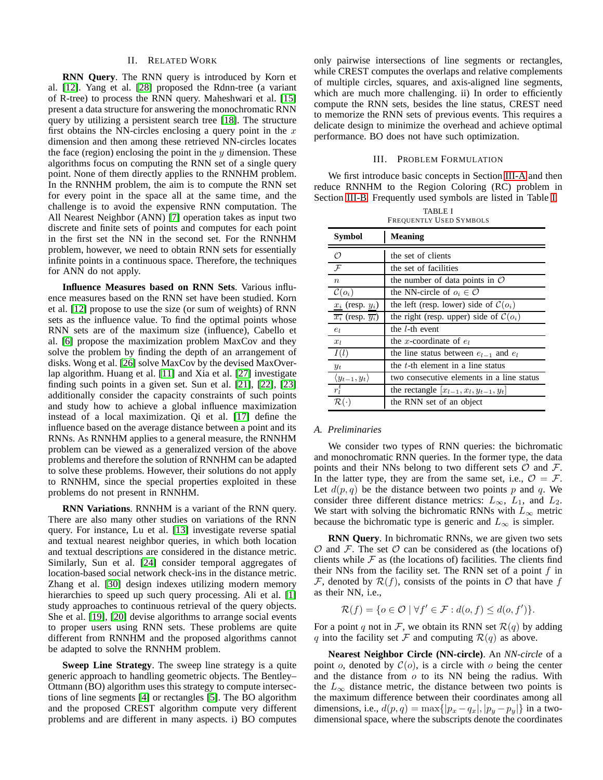# II. RELATED WORK

<span id="page-2-1"></span>**RNN Query**. The RNN query is introduced by Korn et al. [\[12\]](#page-11-0). Yang et al. [\[28\]](#page-11-12) proposed the Rdnn-tree (a variant of R-tree) to process the RNN query. Maheshwari et al. [\[15\]](#page-11-13) present a data structure for answering the monochromatic RNN query by utilizing a persistent search tree [\[18\]](#page-11-14). The structure first obtains the NN-circles enclosing a query point in the  $x$ dimension and then among these retrieved NN-circles locates the face (region) enclosing the point in the  $y$  dimension. These algorithms focus on computing the RNN set of a single query point. None of them directly applies to the RNNHM problem. In the RNNHM problem, the aim is to compute the RNN set for every point in the space all at the same time, and the challenge is to avoid the expensive RNN computation. The All Nearest Neighbor (ANN) [\[7\]](#page-11-15) operation takes as input two discrete and finite sets of points and computes for each point in the first set the NN in the second set. For the RNNHM problem, however, we need to obtain RNN sets for essentially infinite points in a continuous space. Therefore, the techniques for ANN do not apply.

**Influence Measures based on RNN Sets**. Various influence measures based on the RNN set have been studied. Korn et al. [\[12\]](#page-11-0) propose to use the size (or sum of weights) of RNN sets as the influence value. To find the optimal points whose RNN sets are of the maximum size (influence), Cabello et al. [\[6\]](#page-11-3) propose the maximization problem MaxCov and they solve the problem by finding the depth of an arrangement of disks. Wong et al. [\[26\]](#page-11-2) solve MaxCov by the devised MaxOverlap algorithm. Huang et al. [\[11\]](#page-11-16) and Xia et al. [\[27\]](#page-11-17) investigate finding such points in a given set. Sun et al. [\[21\]](#page-11-18), [\[22\]](#page-11-1), [\[23\]](#page-11-19) additionally consider the capacity constraints of such points and study how to achieve a global influence maximization instead of a local maximization. Qi et al. [\[17\]](#page-11-20) define the influence based on the average distance between a point and its RNNs. As RNNHM applies to a general measure, the RNNHM problem can be viewed as a generalized version of the above problems and therefore the solution of RNNHM can be adapted to solve these problems. However, their solutions do not apply to RNNHM, since the special properties exploited in these problems do not present in RNNHM.

**RNN Variations**. RNNHM is a variant of the RNN query. There are also many other studies on variations of the RNN query. For instance, Lu et al. [\[13\]](#page-11-21) investigate reverse spatial and textual nearest neighbor queries, in which both location and textual descriptions are considered in the distance metric. Similarly, Sun et al. [\[24\]](#page-11-22) consider temporal aggregates of location-based social network check-ins in the distance metric. Zhang et al. [\[30\]](#page-11-23) design indexes utilizing modern memory hierarchies to speed up such query processing. Ali et al. [\[1\]](#page-11-24) study approaches to continuous retrieval of the query objects. She et al. [\[19\]](#page-11-6), [\[20\]](#page-11-25) devise algorithms to arrange social events to proper users using RNN sets. These problems are quite different from RNNHM and the proposed algorithms cannot be adapted to solve the RNNHM problem.

**Sweep Line Strategy**. The sweep line strategy is a quite generic approach to handling geometric objects. The Bentley– Ottmann (BO) algorithm uses this strategy to compute intersections of line segments [\[4\]](#page-11-26) or rectangles [\[5\]](#page-11-27). The BO algorithm and the proposed CREST algorithm compute very different problems and are different in many aspects. i) BO computes only pairwise intersections of line segments or rectangles, while CREST computes the overlaps and relative complements of multiple circles, squares, and axis-aligned line segments, which are much more challenging. ii) In order to efficiently compute the RNN sets, besides the line status, CREST need to memorize the RNN sets of previous events. This requires a delicate design to minimize the overhead and achieve optimal performance. BO does not have such optimization.

## III. PROBLEM FORMULATION

<span id="page-2-0"></span>We first introduce basic concepts in Section [III-A](#page-2-2) and then reduce RNNHM to the Region Coloring (RC) problem in Section [III-B.](#page-3-1) Frequently used symbols are listed in Table [I.](#page-2-3)

<span id="page-2-3"></span>

| <b>FREQUENTLY USED SYMBOLS</b>             |                                                    |  |  |
|--------------------------------------------|----------------------------------------------------|--|--|
| Symbol                                     | Meaning                                            |  |  |
| Ω                                          | the set of clients                                 |  |  |
| $\mathcal{F}$                              | the set of facilities                              |  |  |
| $\boldsymbol{n}$                           | the number of data points in $\mathcal O$          |  |  |
| $\mathcal{C}(o_i)$                         | the NN-circle of $o_i \in \mathcal{O}$             |  |  |
| $x_i$ (resp. $y_i$ )                       | the left (resp. lower) side of $\mathcal{C}(o_i)$  |  |  |
| $\overline{x_i}$ (resp. $\overline{y_i}$ ) | the right (resp. upper) side of $\mathcal{C}(o_i)$ |  |  |
| $e_l$                                      | the <i>l</i> -th event                             |  |  |
| $x_l$                                      | the <i>x</i> -coordinate of $e_l$                  |  |  |
| I(l)                                       | the line status between $e_{l-1}$ and $e_l$        |  |  |
| $y_t$                                      | the t-th element in a line status                  |  |  |
| $\langle y_{t-1}, y_t \rangle$             | two consecutive elements in a line status          |  |  |
| $r_l^t$                                    | the rectangle $[x_{l-1}, x_l, y_{t-1}, y_t]$       |  |  |
|                                            | the RNN set of an object                           |  |  |

### TABLE I FREQUENTLY USED SYMBOLS

## <span id="page-2-2"></span>*A. Preliminaries*

We consider two types of RNN queries: the bichromatic and monochromatic RNN queries. In the former type, the data points and their NNs belong to two different sets  $\mathcal O$  and  $\mathcal F$ . In the latter type, they are from the same set, i.e.,  $\mathcal{O} = \mathcal{F}$ . Let  $d(p, q)$  be the distance between two points p and q. We consider three different distance metrics:  $L_{\infty}$ ,  $L_1$ , and  $L_2$ . We start with solving the bichromatic RNNs with  $L_{\infty}$  metric because the bichromatic type is generic and  $L_{\infty}$  is simpler.

**RNN Query**. In bichromatic RNNs, we are given two sets  $\mathcal O$  and  $\mathcal F$ . The set  $\mathcal O$  can be considered as (the locations of) clients while  $F$  as (the locations of) facilities. The clients find their NNs from the facility set. The RNN set of a point  $f$  in F, denoted by  $\mathcal{R}(f)$ , consists of the points in O that have f as their NN, i.e.,

$$
\mathcal{R}(f) = \{ o \in \mathcal{O} \mid \forall f' \in \mathcal{F} : d(o, f) \leq d(o, f') \}.
$$

For a point q not in F, we obtain its RNN set  $\mathcal{R}(q)$  by adding q into the facility set F and computing  $\mathcal{R}(q)$  as above.

**Nearest Neighbor Circle (NN-circle)**. An *NN-circle* of a point o, denoted by  $C(o)$ , is a circle with o being the center and the distance from  $o$  to its NN being the radius. With the  $L_{\infty}$  distance metric, the distance between two points is the maximum difference between their coordinates among all dimensions, i.e.,  $d(p,q) = \max\{|p_x - q_x|, |p_y - p_y|\}$  in a twodimensional space, where the subscripts denote the coordinates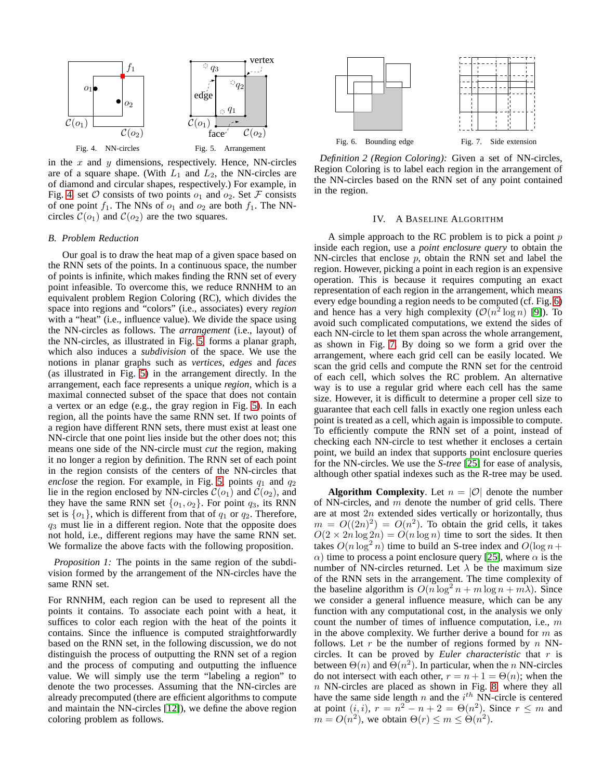

<span id="page-3-2"></span>in the  $x$  and  $y$  dimensions, respectively. Hence, NN-circles are of a square shape. (With  $L_1$  and  $L_2$ , the NN-circles are of diamond and circular shapes, respectively.) For example, in Fig. [4,](#page-3-2) set  $\mathcal O$  consists of two points  $o_1$  and  $o_2$ . Set  $\mathcal F$  consists of one point  $f_1$ . The NNs of  $o_1$  and  $o_2$  are both  $f_1$ . The NNcircles  $C(o_1)$  and  $C(o_2)$  are the two squares.

#### <span id="page-3-1"></span>*B. Problem Reduction*

Our goal is to draw the heat map of a given space based on the RNN sets of the points. In a continuous space, the number of points is infinite, which makes finding the RNN set of every point infeasible. To overcome this, we reduce RNNHM to an equivalent problem Region Coloring (RC), which divides the space into regions and "colors" (i.e., associates) every *region* with a "heat" (i.e., influence value). We divide the space using the NN-circles as follows. The *arrangement* (i.e., layout) of the NN-circles, as illustrated in Fig. [5,](#page-3-3) forms a planar graph, which also induces a *subdivision* of the space. We use the notions in planar graphs such as *vertices*, *edges* and *faces* (as illustrated in Fig. [5\)](#page-3-3) in the arrangement directly. In the arrangement, each face represents a unique *region*, which is a maximal connected subset of the space that does not contain a vertex or an edge (e.g., the gray region in Fig. [5\)](#page-3-3). In each region, all the points have the same RNN set. If two points of a region have different RNN sets, there must exist at least one NN-circle that one point lies inside but the other does not; this means one side of the NN-circle must *cut* the region, making it no longer a region by definition. The RNN set of each point in the region consists of the centers of the NN-circles that *enclose* the region. For example, in Fig. [5,](#page-3-3) points  $q_1$  and  $q_2$ lie in the region enclosed by NN-circles  $\mathcal{C}(o_1)$  and  $\mathcal{C}(o_2)$ , and they have the same RNN set  $\{o_1, o_2\}$ . For point  $q_3$ , its RNN set is  $\{o_1\}$ , which is different from that of  $q_1$  or  $q_2$ . Therefore,  $q_3$  must lie in a different region. Note that the opposite does not hold, i.e., different regions may have the same RNN set. We formalize the above facts with the following proposition.

*Proposition 1:* The points in the same region of the subdivision formed by the arrangement of the NN-circles have the same RNN set.

For RNNHM, each region can be used to represent all the points it contains. To associate each point with a heat, it suffices to color each region with the heat of the points it contains. Since the influence is computed straightforwardly based on the RNN set, in the following discussion, we do not distinguish the process of outputting the RNN set of a region and the process of computing and outputting the influence value. We will simply use the term "labeling a region" to denote the two processes. Assuming that the NN-circles are already precomputed (there are efficient algorithms to compute and maintain the NN-circles [\[12\]](#page-11-0)), we define the above region coloring problem as follows.



<span id="page-3-4"></span><span id="page-3-3"></span>*Definition 2 (Region Coloring):* Given a set of NN-circles, Region Coloring is to label each region in the arrangement of the NN-circles based on the RNN set of any point contained in the region.

### <span id="page-3-5"></span>IV. A BASELINE ALGORITHM

<span id="page-3-0"></span>A simple approach to the RC problem is to pick a point  $p$ inside each region, use a *point enclosure query* to obtain the NN-circles that enclose  $p$ , obtain the RNN set and label the region. However, picking a point in each region is an expensive operation. This is because it requires computing an exact representation of each region in the arrangement, which means every edge bounding a region needs to be computed (cf. Fig. [6\)](#page-3-4) and hence has a very high complexity  $(\mathcal{O}(n^2 \log n)$  [\[9\]](#page-11-28)). To avoid such complicated computations, we extend the sides of each NN-circle to let them span across the whole arrangement, as shown in Fig. [7.](#page-3-5) By doing so we form a grid over the arrangement, where each grid cell can be easily located. We scan the grid cells and compute the RNN set for the centroid of each cell, which solves the RC problem. An alternative way is to use a regular grid where each cell has the same size. However, it is difficult to determine a proper cell size to guarantee that each cell falls in exactly one region unless each point is treated as a cell, which again is impossible to compute. To efficiently compute the RNN set of a point, instead of checking each NN-circle to test whether it encloses a certain point, we build an index that supports point enclosure queries for the NN-circles. We use the *S-tree* [\[25\]](#page-11-29) for ease of analysis, although other spatial indexes such as the R-tree may be used.

**Algorithm Complexity.** Let  $n = |O|$  denote the number of NN-circles, and  $m$  denote the number of grid cells. There are at most  $2n$  extended sides vertically or horizontally, thus  $m = O((2n)^2) = O(n^2)$ . To obtain the grid cells, it takes  $O(2 \times 2n \log 2n) = O(n \log n)$  time to sort the sides. It then takes  $O(n \log^2 n)$  time to build an S-tree index and  $O(\log n +$  $\alpha$ ) time to process a point enclosure query [\[25\]](#page-11-29), where  $\alpha$  is the number of NN-circles returned. Let  $\lambda$  be the maximum size of the RNN sets in the arrangement. The time complexity of the baseline algorithm is  $O(n \log^2 n + m \log n + m\lambda)$ . Since we consider a general influence measure, which can be any function with any computational cost, in the analysis we only count the number of times of influence computation, i.e., m in the above complexity. We further derive a bound for  $m$  as follows. Let r be the number of regions formed by  $n$  NNcircles. It can be proved by *Euler characteristic* that r is between  $\Theta(n)$  and  $\Theta(n^2)$ . In particular, when the n NN-circles do not intersect with each other,  $r = n + 1 = \Theta(n)$ ; when the n NN-circles are placed as shown in Fig. [8,](#page-4-1) where they all have the same side length n and the  $i^{th}$  NN-circle is centered at point  $(i, i)$ ,  $r = n^2 - n + 2 = \Theta(n^2)$ . Since  $r \leq m$  and  $m = O(n^2)$ , we obtain  $\Theta(r) \le m \le \Theta(n^2)$ .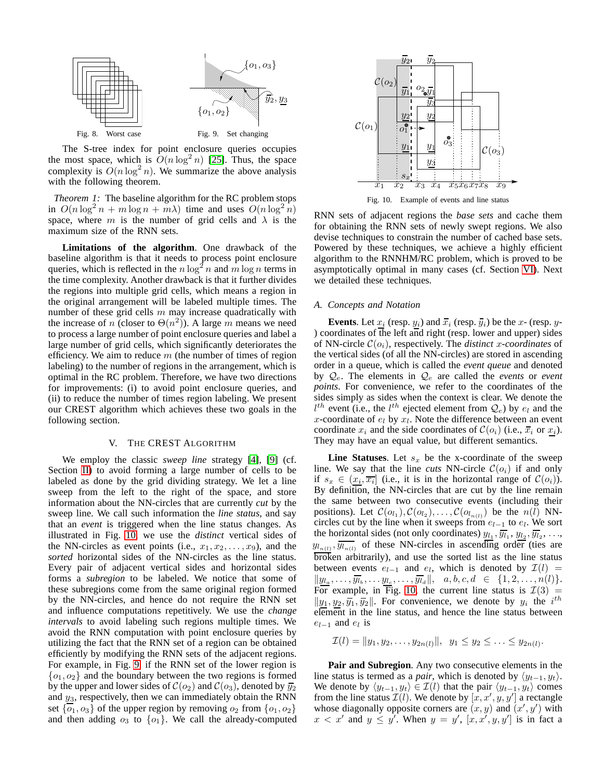

<span id="page-4-1"></span>The S-tree index for point enclosure queries occupies the most space, which is  $O(n \log^2 n)$  [\[25\]](#page-11-29). Thus, the space complexity is  $O(n \log^2 n)$ . We summarize the above analysis with the following theorem.

*Theorem 1:* The baseline algorithm for the RC problem stops in  $O(n \log^2 n + m \log n + m\lambda)$  time and uses  $O(n \log^2 n)$ space, where m is the number of grid cells and  $\lambda$  is the maximum size of the RNN sets.

**Limitations of the algorithm**. One drawback of the baseline algorithm is that it needs to process point enclosure queries, which is reflected in the  $n \log^2 n$  and  $m \log n$  terms in the time complexity. Another drawback is that it further divides the regions into multiple grid cells, which means a region in the original arrangement will be labeled multiple times. The number of these grid cells  $m$  may increase quadratically with the increase of *n* (closer to  $\Theta(n^2)$ ). A large *m* means we need to process a large number of point enclosure queries and label a large number of grid cells, which significantly deteriorates the efficiency. We aim to reduce  $m$  (the number of times of region labeling) to the number of regions in the arrangement, which is optimal in the RC problem. Therefore, we have two directions for improvements: (i) to avoid point enclosure queries, and (ii) to reduce the number of times region labeling. We present our CREST algorithm which achieves these two goals in the following section.

# V. THE CREST ALGORITHM

<span id="page-4-0"></span>We employ the classic *sweep line* strategy [\[4\]](#page-11-26), [\[9\]](#page-11-28) (cf. Section [II\)](#page-2-1) to avoid forming a large number of cells to be labeled as done by the grid dividing strategy. We let a line sweep from the left to the right of the space, and store information about the NN-circles that are currently *cut* by the sweep line. We call such information the *line status*, and say that an *event* is triggered when the line status changes. As illustrated in Fig. [10,](#page-4-2) we use the *distinct* vertical sides of the NN-circles as event points (i.e.,  $x_1, x_2, \ldots, x_9$ ), and the *sorted* horizontal sides of the NN-circles as the line status. Every pair of adjacent vertical sides and horizontal sides forms a *subregion* to be labeled. We notice that some of these subregions come from the same original region formed by the NN-circles, and hence do not require the RNN set and influence computations repetitively. We use the *change intervals* to avoid labeling such regions multiple times. We avoid the RNN computation with point enclosure queries by utilizing the fact that the RNN set of a region can be obtained efficiently by modifying the RNN sets of the adjacent regions. For example, in Fig. [9,](#page-4-3) if the RNN set of the lower region is  ${o_1, o_2}$  and the boundary between the two regions is formed by the upper and lower sides of  $\mathcal{C}(o_2)$  and  $\mathcal{C}(o_3)$ , denoted by  $\overline{y_2}$ and  $y_3$ , respectively, then we can immediately obtain the RNN set  $\{o_1, o_3\}$  of the upper region by removing  $o_2$  from  $\{o_1, o_2\}$ and then adding  $o_3$  to  $\{o_1\}$ . We call the already-computed



<span id="page-4-2"></span>Fig. 10. Example of events and line status

<span id="page-4-3"></span>RNN sets of adjacent regions the *base sets* and cache them for obtaining the RNN sets of newly swept regions. We also devise techniques to constrain the number of cached base sets. Powered by these techniques, we achieve a highly efficient algorithm to the RNNHM/RC problem, which is proved to be asymptotically optimal in many cases (cf. Section [VI\)](#page-7-0). Next we detailed these techniques.

# *A. Concepts and Notation*

**Events**. Let  $x_i$  (resp.  $y_i$ ) and  $\overline{x}_i$  (resp.  $\overline{y}_i$ ) be the x- (resp. y-) coordinates of the left and right (resp. lower and upper) sides of NN-circle  $\mathcal{C}(o_i)$ , respectively. The *distinct* x-coordinates of the vertical sides (of all the NN-circles) are stored in ascending order in a queue, which is called the *event queue* and denoted by  $Q_e$ . The elements in  $Q_e$  are called the *events* or *event points*. For convenience, we refer to the coordinates of the sides simply as sides when the context is clear. We denote the  $l^{th}$  event (i.e., the  $l^{th}$  ejected element from  $\mathcal{Q}_e$ ) by  $e_l$  and the x-coordinate of  $e_l$  by  $x_l$ . Note the difference between an event coordinate  $x_i$  and the side coordinates of  $\mathcal{C}(o_i)$  (i.e.,  $\overline{x}_i$  or  $x_i$ ). They may have an equal value, but different semantics.

**Line Statuses**. Let  $s_x$  be the x-coordinate of the sweep line. We say that the line *cuts* NN-circle  $C(o_i)$  if and only if  $s_x \in (\underline{x_i}, \overline{x_i}]$  (i.e., it is in the horizontal range of  $\mathcal{C}(o_i)$ ). By definition, the NN-circles that are cut by the line remain the same between two consecutive events (including their positions). Let  $\mathcal{C}(o_{l_1}), \mathcal{C}(o_{l_2}), \dots, \mathcal{C}(o_{l_{n(l)}})$  be the  $n(l)$  NNcircles cut by the line when it sweeps from  $e_{l-1}$  to  $e_l$ . We sort the horizontal sides (not only coordinates)  $y_{l_1}, \overline{y_{l_1}}, y_{l_2}, \overline{y_{l_2}}, \ldots$  $y_{l_{n(l)}}, \overline{y_{l_{n(l)}}}$  of these NN-circles in ascending order (ties are broken arbitrarily), and use the sorted list as the line status between events  $e_{l-1}$  and  $e_l$ , which is denoted by  $\mathcal{I}(l)$  =  $||y_{l_a}, \ldots, \overline{y_{l_b}}, \ldots, y_{l_c}, \ldots, \overline{y_{l_d}}||, \quad a, b, c, d \in \{1, 2, \ldots, n(l)\}.$ For example, in Fig. [10,](#page-4-2) the current line status is  $\mathcal{I}(3) =$  $||y_1, y_2, \overline{y_1}, \overline{y_2}||$ . For convenience, we denote by  $y_i$  the  $i^{th}$ element in the line status, and hence the line status between  $e_{l-1}$  and  $e_l$  is

$$
\mathcal{I}(l) = \|y_1, y_2, \dots, y_{2n(l)}\|, \ \ y_1 \le y_2 \le \dots \le y_{2n(l)}.
$$

**Pair and Subregion**. Any two consecutive elements in the line status is termed as a *pair*, which is denoted by  $\langle y_{t-1}, y_t \rangle$ . We denote by  $\langle y_{t-1}, y_t \rangle \in \mathcal{I}(l)$  that the pair  $\langle y_{t-1}, y_t \rangle$  comes from the line status  $\mathcal{I}(l)$ . We denote by  $[x, x', y, y']$  a rectangle whose diagonally opposite corners are  $(x, y)$  and  $(x', y')$  with  $x < x'$  and  $y \le y'$ . When  $y = y'$ ,  $[x, x', y, y']$  is in fact a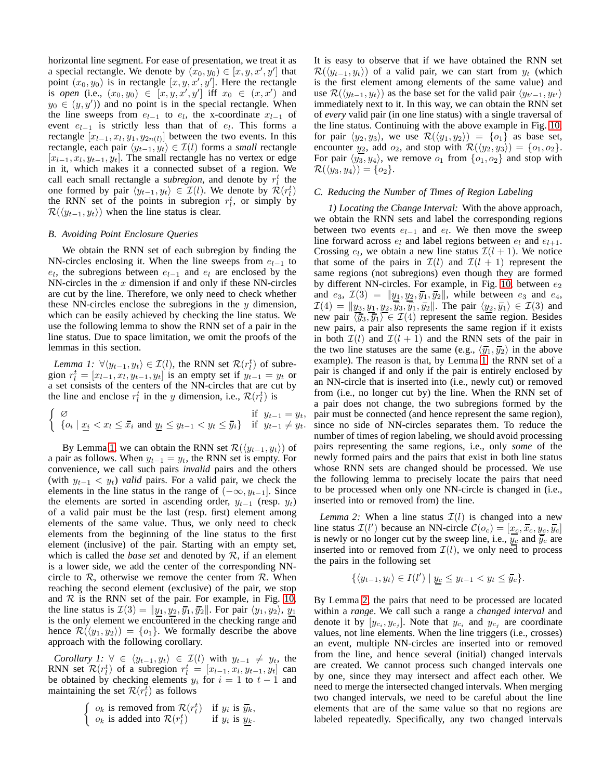horizontal line segment. For ease of presentation, we treat it as a special rectangle. We denote by  $(x_0, y_0) \in [x, y, x', y']$  that point  $(x_0, y_0)$  is in rectangle  $[x, y, x', y']$ . Here the rectangle is *open* (i.e.,  $(x_0, y_0) \in [x, y, x', y']$  iff  $x_0 \in (x, x')$  and  $y_0 \in (y, y')$  and no point is in the special rectangle. When the line sweeps from  $e_{l-1}$  to  $e_l$ , the x-coordinate  $x_{l-1}$  of event  $e_{l-1}$  is strictly less than that of  $e_l$ . This forms a rectangle  $[x_{l-1}, x_l, y_1, y_{2n(l)}]$  between the two events. In this rectangle, each pair  $\langle y_{t-1}, y_t \rangle \in I(l)$  forms a *small* rectangle  $[x_{l-1}, x_l, y_{t-1}, y_t]$ . The small rectangle has no vertex or edge in it, which makes it a connected subset of a region. We call each small rectangle a *subregion*, and denote by  $r_l^t$  the one formed by pair  $\langle y_{t-1}, y_t \rangle \in \mathcal{I}(l)$ . We denote by  $\mathcal{R}(r_l^t)$ the RNN set of the points in subregion  $r_t^t$ , or simply by  $\mathcal{R}(\langle y_{t-1}, y_t \rangle)$  when the line status is clear.

## *B. Avoiding Point Enclosure Queries*

We obtain the RNN set of each subregion by finding the NN-circles enclosing it. When the line sweeps from  $e_{l-1}$  to  $e_l$ , the subregions between  $e_{l-1}$  and  $e_l$  are enclosed by the NN-circles in the  $x$  dimension if and only if these NN-circles are cut by the line. Therefore, we only need to check whether these NN-circles enclose the subregions in the  $y$  dimension, which can be easily achieved by checking the line status. We use the following lemma to show the RNN set of a pair in the line status. Due to space limitation, we omit the proofs of the lemmas in this section.

<span id="page-5-0"></span>*Lemma 1:*  $\forall \langle y_{t-1}, y_t \rangle \in \mathcal{I}(l)$ , the RNN set  $\mathcal{R}(r_t^t)$  of subregion  $r_l^t = [x_{l-1}, x_l, y_{t-1}, y_t]$  is an empty set if  $y_{t-1}^t = y_t$  or a set consists of the centers of the NN-circles that are cut by the line and enclose  $r_l^t$  in the y dimension, i.e.,  $\mathcal{R}(r_l^t)$  is

$$
\begin{cases}\n\varnothing & \text{if } y_{t-1} = y_t, \\
\{\varphi_i \mid \underline{x_i} < x_l \le \overline{x}_i \text{ and } \underline{y}_i \le y_{t-1} < y_t \le \overline{y}_i\} & \text{if } y_{t-1} \ne y_t.\n\end{cases}
$$

By Lemma [1,](#page-5-0) we can obtain the RNN set  $\mathcal{R}(\langle y_{t-1}, y_t \rangle)$  of a pair as follows. When  $y_{t-1} = y_t$ , the RNN set is empty. For convenience, we call such pairs *invalid* pairs and the others (with  $y_{t-1} \, \langle y_t \rangle$  *valid* pairs. For a valid pair, we check the elements in the line status in the range of  $(-\infty, y_{t-1}]$ . Since the elements are sorted in ascending order,  $y_{t-1}$  (resp.  $y_t$ ) of a valid pair must be the last (resp. first) element among elements of the same value. Thus, we only need to check elements from the beginning of the line status to the first element (inclusive) of the pair. Starting with an empty set, which is called the *base set* and denoted by R, if an element is a lower side, we add the center of the corresponding NNcircle to  $\mathcal{R}$ , otherwise we remove the center from  $\mathcal{R}$ . When reaching the second element (exclusive) of the pair, we stop and  $R$  is the RNN set of the pair. For example, in Fig. [10,](#page-4-2) the line status is  $\mathcal{I}(3) = ||\underline{y_1}, \underline{y_2}, \overline{y_1}, \overline{y_2}||$ . For pair  $\langle y_1, y_2 \rangle$ ,  $\underline{y_1}$ is the only element we encountered in the checking range and hence  $\mathcal{R}(\langle y_1, y_2 \rangle) = \{o_1\}$ . We formally describe the above approach with the following corollary.

*Corollary 1:*  $\forall \in \langle y_{t-1}, y_t \rangle \in \mathcal{I}(l)$  with  $y_{t-1} \neq y_t$ , the RNN set  $\mathcal{R}(r_l^t)$  of a subregion  $r_l^t = [x_{l-1}, x_l, y_{t-1}, y_t]$  can be obtained by checking elements  $y_i$  for  $i = 1$  to  $t - 1$  and maintaining the set  $\mathcal{R}(r_l^{\overline{t}})$  as follows

$$
\begin{cases} o_k \text{ is removed from } \mathcal{R}(r_l^t) & \text{if } y_i \text{ is } \overline{y_k}, \\ o_k \text{ is added into } \mathcal{R}(r_l^t) & \text{if } y_i \text{ is } \underline{y_k}. \end{cases}
$$

It is easy to observe that if we have obtained the RNN set  $\mathcal{R}(\langle y_{t-1}, y_t \rangle)$  of a valid pair, we can start from  $y_t$  (which is the first element among elements of the same value) and use  $\mathcal{R}(\langle y_{t-1}, y_t \rangle)$  as the base set for the valid pair  $\langle y_{t'-1}, y_{t'} \rangle$ immediately next to it. In this way, we can obtain the RNN set of *every* valid pair (in one line status) with a single traversal of the line status. Continuing with the above example in Fig. [10,](#page-4-2) for pair  $\langle y_2, y_3 \rangle$ , we use  $\mathcal{R}(\langle y_1, y_2 \rangle) = \{o_1\}$  as base set, encounter  $y_2$ , add  $o_2$ , and stop with  $\mathcal{R}(\langle y_2, y_3 \rangle) = \{o_1, o_2\}.$ For pair  $\langle y_3, y_4 \rangle$ , we remove  $o_1$  from  $\{o_1, o_2\}$  and stop with  $\mathcal{R}(\langle y_3, y_4 \rangle) = \{o_2\}.$ 

## *C. Reducing the Number of Times of Region Labeling*

*1) Locating the Change Interval:* With the above approach, we obtain the RNN sets and label the corresponding regions between two events  $e_{l-1}$  and  $e_l$ . We then move the sweep line forward across  $e_l$  and label regions between  $e_l$  and  $e_{l+1}$ . Crossing  $e_l$ , we obtain a new line status  $\mathcal{I}(l + 1)$ . We notice that some of the pairs in  $\mathcal{I}(l)$  and  $\mathcal{I}(l + 1)$  represent the same regions (not subregions) even though they are formed by different NN-circles. For example, in Fig. [10,](#page-4-2) between  $e_2$ and  $e_3$ ,  $\mathcal{I}(3) = ||y_1, y_2, \overline{y_1}, \overline{y_2}||$ , while between  $e_3$  and  $e_4$ ,  $\mathcal{I}(4) = ||y_3, y_1, y_2, \overline{y}_3, \overline{y}_1, \overline{y}_2||$ . The pair  $\langle y_2, \overline{y}_1 \rangle \in \mathcal{I}(3)$  and new pair  $\langle \overline{y}_3, \overline{y}_1 \rangle \in \mathcal{I}(4)$  represent the same region. Besides new pairs, a pair also represents the same region if it exists in both  $\mathcal{I}(l)$  and  $\mathcal{I}(l + 1)$  and the RNN sets of the pair in the two line statuses are the same (e.g.,  $\langle \overline{y}_1, \overline{y}_2 \rangle$ ) in the above example). The reason is that, by Lemma [1,](#page-5-0) the RNN set of a pair is changed if and only if the pair is entirely enclosed by an NN-circle that is inserted into (i.e., newly cut) or removed from (i.e., no longer cut by) the line. When the RNN set of a pair does not change, the two subregions formed by the pair must be connected (and hence represent the same region), since no side of NN-circles separates them. To reduce the number of times of region labeling, we should avoid processing pairs representing the same regions, i.e., only *some* of the newly formed pairs and the pairs that exist in both line status whose RNN sets are changed should be processed. We use the following lemma to precisely locate the pairs that need to be processed when only one NN-circle is changed in (i.e., inserted into or removed from) the line.

*Lemma 2:* When a line status  $\mathcal{I}(l)$  is changed into a new line status  $\mathcal{I}(l')$  because an NN-circle  $\mathcal{C}(o_c) = [\underline{x_c}, \overline{x_c}, y_c, \overline{y_c}]$ is newly or no longer cut by the sweep line, i.e.,  $y_c$  and  $\overline{y}_c$  are inserted into or removed from  $\mathcal{I}(l)$ , we only need to process the pairs in the following set

<span id="page-5-1"></span>
$$
\{\langle y_{t-1}, y_t \rangle \in I(l') \mid y_c \leq y_{t-1} < y_t \leq \overline{y}_c\}.
$$

By Lemma [2,](#page-5-1) the pairs that need to be processed are located within a *range*. We call such a range a *changed interval* and denote it by  $[y_{c_i}, y_{c_j}]$ . Note that  $y_{c_i}$  and  $y_{c_j}$  are coordinate values, not line elements. When the line triggers (i.e., crosses) an event, multiple NN-circles are inserted into or removed from the line, and hence several (initial) changed intervals are created. We cannot process such changed intervals one by one, since they may intersect and affect each other. We need to merge the intersected changed intervals. When merging two changed intervals, we need to be careful about the line elements that are of the same value so that no regions are labeled repeatedly. Specifically, any two changed intervals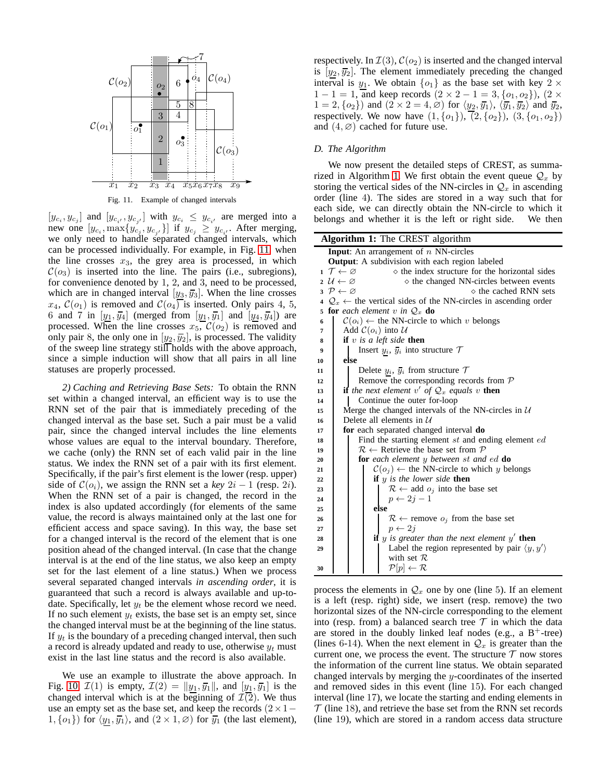

<span id="page-6-0"></span>Fig. 11. Example of changed intervals

 $[y_{c_i}, y_{c_j}]$  and  $[y_{c_{i'}}, y_{c_{j'}}]$  with  $y_{c_i} \leq y_{c_{i'}}$  are merged into a new one  $[y_{c_i}, \max\{y_{c_j}, y_{c_{j'}}\}]$  if  $y_{c_j} \geq y_{c_{i'}}$ . After merging, we only need to handle separated changed intervals, which can be processed individually. For example, in Fig. [11,](#page-6-0) when the line crosses  $x_3$ , the grey area is processed, in which  $C(o_3)$  is inserted into the line. The pairs (i.e., subregions), for convenience denoted by 1, 2, and 3, need to be processed, which are in changed interval  $[y_3, \overline{y_3}]$ . When the line crosses  $x_4$ ,  $\mathcal{C}(o_1)$  is removed and  $\mathcal{C}(o_4)$  is inserted. Only pairs 4, 5, 6 and 7 in  $[y_1, \overline{y_4}]$  (merged from  $[y_1, \overline{y_1}]$  and  $[y_4, \overline{y_4}]$ ) are processed. When the line crosses  $x_5$ ,  $\mathcal{C}(o_2)$  is removed and only pair 8, the only one in  $[y_2, \overline{y}_2]$ , is processed. The validity of the sweep line strategy still holds with the above approach, since a simple induction will show that all pairs in all line statuses are properly processed.

*2) Caching and Retrieving Base Sets:* To obtain the RNN set within a changed interval, an efficient way is to use the RNN set of the pair that is immediately preceding of the changed interval as the base set. Such a pair must be a valid pair, since the changed interval includes the line elements whose values are equal to the interval boundary. Therefore, we cache (only) the RNN set of each valid pair in the line status. We index the RNN set of a pair with its first element. Specifically, if the pair's first element is the lower (resp. upper) side of  $C(o_i)$ , we assign the RNN set a *key*  $2i - 1$  (resp. 2*i*). When the RNN set of a pair is changed, the record in the index is also updated accordingly (for elements of the same value, the record is always maintained only at the last one for efficient access and space saving). In this way, the base set for a changed interval is the record of the element that is one position ahead of the changed interval. (In case that the change interval is at the end of the line status, we also keep an empty set for the last element of a line status.) When we process several separated changed intervals *in ascending order*, it is guaranteed that such a record is always available and up-todate. Specifically, let  $y_t$  be the element whose record we need. If no such element  $y_t$  exists, the base set is an empty set, since the changed interval must be at the beginning of the line status. If  $y_t$  is the boundary of a preceding changed interval, then such a record is already updated and ready to use, otherwise  $y_t$  must exist in the last line status and the record is also available.

We use an example to illustrate the above approach. In Fig. [10,](#page-4-2)  $\mathcal{I}(1)$  is empty,  $\mathcal{I}(2) = ||y_1, \overline{y_1}||$ , and  $[y_1, \overline{y_1}]$  is the changed interval which is at the beginning of  $\mathcal{I}(2)$ . We thus use an empty set as the base set, and keep the records  $(2 \times 1−$  $1, \{o_1\}$  for  $\langle y_1, \overline{y_1} \rangle$ , and  $(2 \times 1, \emptyset)$  for  $\overline{y_1}$  (the last element), respectively. In  $\mathcal{I}(3)$ ,  $\mathcal{C}(o_2)$  is inserted and the changed interval is  $[y_2, \overline{y_2}]$ . The element immediately preceding the changed interval is  $y_1$ . We obtain  $\{o_1\}$  as the base set with key  $2 \times$  $1 - 1 = 1$ , and keep records  $(2 \times 2 - 1 = 3, \{o_1, o_2\})$ ,  $(2 \times$  $1 = 2, \{o_2\}$  and  $(2 \times 2 = 4, \emptyset)$  for  $\langle y_2, \overline{y_1} \rangle$ ,  $\langle \overline{y_1}, \overline{y_2} \rangle$  and  $\overline{y_2}$ , respectively. We now have  $(1, \{o_1\})$ ,  $(2, \{o_2\})$ ,  $(3, \{o_1, o_2\})$ and  $(4, \emptyset)$  cached for future use.

# *D. The Algorithm*

We now present the detailed steps of CREST, as summa-rized in Algorithm [1.](#page-6-1) We first obtain the event queue  $\mathcal{Q}_x$  by storing the vertical sides of the NN-circles in  $\mathcal{Q}_x$  in ascending order (line 4). The sides are stored in a way such that for each side, we can directly obtain the NN-circle to which it belongs and whether it is the left or right side. We then

| Algorithm 1: The CREST algorithm               |                                                                                                   |  |  |
|------------------------------------------------|---------------------------------------------------------------------------------------------------|--|--|
| <b>Input:</b> An arrangement of $n$ NN-circles |                                                                                                   |  |  |
|                                                | <b>Output:</b> A subdivision with each region labeled                                             |  |  |
|                                                | $1 \mathcal{T} \leftarrow \varnothing$<br>$\diamond$ the index structure for the horizontal sides |  |  |
|                                                | $2 \mathcal{U} \leftarrow \varnothing$<br>$\diamond$ the changed NN-circles between events        |  |  |
|                                                | $3 \mathcal{P} \leftarrow \varnothing$<br>$\diamond$ the cached RNN sets                          |  |  |
| 4                                              | $Q_x \leftarrow$ the vertical sides of the NN-circles in ascending order                          |  |  |
|                                                | 5 for each element v in $\mathcal{Q}_x$ do                                                        |  |  |
| 6                                              | $\mathcal{C}(o_i) \leftarrow$ the NN-circle to which v belongs                                    |  |  |
| 7                                              | Add $\mathcal{C}(o_i)$ into $\mathcal U$                                                          |  |  |
| 8                                              | if $v$ is a left side then                                                                        |  |  |
| 9                                              | Insert $y_i$ , $\overline{y_i}$ into structure $\mathcal T$                                       |  |  |
| 10                                             | else                                                                                              |  |  |
| 11                                             | Delete $y_i$ , $\overline{y_i}$ from structure $\mathcal T$                                       |  |  |
| 12                                             | Remove the corresponding records from $P$                                                         |  |  |
| 13                                             | <b>if</b> the next element v' of $Q_x$ equals v <b>then</b>                                       |  |  |
| 14                                             | Continue the outer for-loop                                                                       |  |  |
| 15                                             | Merge the changed intervals of the NN-circles in $\mathcal{U}$                                    |  |  |
| 16                                             | Delete all elements in $\mathcal U$                                                               |  |  |
| 17                                             | for each separated changed interval do                                                            |  |  |
| 18                                             | Find the starting element st and ending element ed                                                |  |  |
| 19                                             | $\mathcal{R} \leftarrow$ Retrieve the base set from $\mathcal{P}$                                 |  |  |
| 20                                             | <b>for</b> each element y between st and ed <b>do</b>                                             |  |  |
| 21                                             | $\mathcal{C}(o_i) \leftarrow$ the NN-circle to which y belongs                                    |  |  |
| 22                                             | <b>if</b> $y$ is the lower side <b>then</b>                                                       |  |  |
| 23                                             | $\mathcal{R} \leftarrow$ add $o_j$ into the base set                                              |  |  |
| 24                                             | $p \leftarrow 2j-1$                                                                               |  |  |
| 25                                             | else                                                                                              |  |  |
| 26                                             | $\mathcal{R} \leftarrow$ remove $o_j$ from the base set                                           |  |  |
| 27                                             | $p \leftarrow 2j$                                                                                 |  |  |
| 28                                             | <b>if</b> y is greater than the next element $y'$ then                                            |  |  |
| 29                                             | Label the region represented by pair $\langle y, y' \rangle$                                      |  |  |
|                                                | with set $\mathcal{R}$                                                                            |  |  |
| 30                                             | $\mathcal{P}[p] \leftarrow \mathcal{R}$                                                           |  |  |

<span id="page-6-1"></span>process the elements in  $\mathcal{Q}_x$  one by one (line 5). If an element is a left (resp. right) side, we insert (resp. remove) the two horizontal sizes of the NN-circle corresponding to the element into (resp. from) a balanced search tree  $\mathcal T$  in which the data are stored in the doubly linked leaf nodes (e.g., a  $B^+$ -tree) (lines 6-14). When the next element in  $\mathcal{Q}_x$  is greater than the current one, we process the event. The structure  $\mathcal T$  now stores the information of the current line status. We obtain separated changed intervals by merging the y-coordinates of the inserted and removed sides in this event (line 15). For each changed interval (line 17), we locate the starting and ending elements in  $\mathcal T$  (line 18), and retrieve the base set from the RNN set records (line 19), which are stored in a random access data structure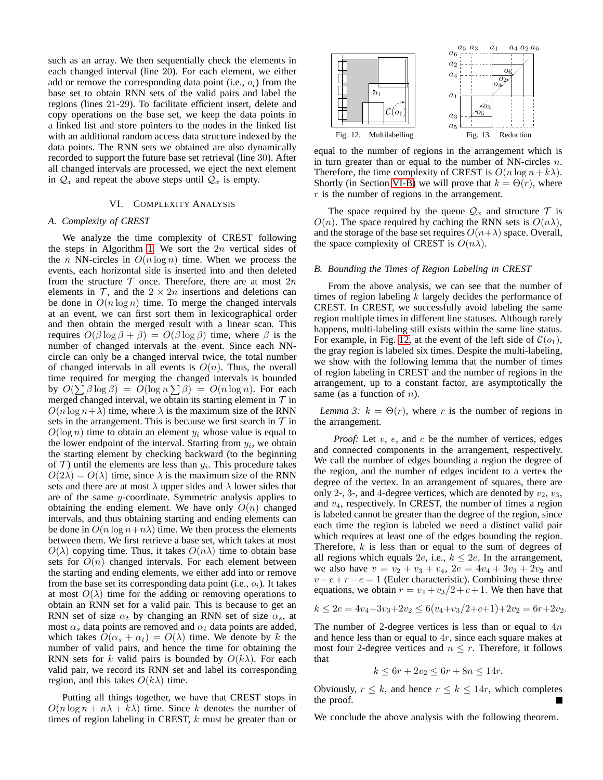such as an array. We then sequentially check the elements in each changed interval (line 20). For each element, we either add or remove the corresponding data point (i.e.,  $o_i$ ) from the base set to obtain RNN sets of the valid pairs and label the regions (lines 21-29). To facilitate efficient insert, delete and copy operations on the base set, we keep the data points in a linked list and store pointers to the nodes in the linked list with an additional random access data structure indexed by the data points. The RNN sets we obtained are also dynamically recorded to support the future base set retrieval (line 30). After all changed intervals are processed, we eject the next element in  $\mathcal{Q}_x$  and repeat the above steps until  $\mathcal{Q}_x$  is empty.

# VI. COMPLEXITY ANALYSIS

# <span id="page-7-0"></span>*A. Complexity of CREST*

We analyze the time complexity of CREST following the steps in Algorithm [1.](#page-6-1) We sort the  $2n$  vertical sides of the *n* NN-circles in  $O(n \log n)$  time. When we process the events, each horizontal side is inserted into and then deleted from the structure  $T$  once. Therefore, there are at most  $2n$ elements in  $\mathcal{T}$ , and the  $2 \times 2n$  insertions and deletions can be done in  $O(n \log n)$  time. To merge the changed intervals at an event, we can first sort them in lexicographical order and then obtain the merged result with a linear scan. This requires  $O(\beta \log \beta + \beta) = O(\beta \log \beta)$  time, where  $\beta$  is the number of changed intervals at the event. Since each NNcircle can only be a changed interval twice, the total number of changed intervals in all events is  $O(n)$ . Thus, the overall time required for merging the changed intervals is bounded by  $O(\sum \beta \log \beta) = O(\log n \sum \beta) = O(n \log n)$ . For each merged changed interval, we obtain its starting element in  $\mathcal T$  in  $O(n \log n + \lambda)$  time, where  $\lambda$  is the maximum size of the RNN sets in the arrangement. This is because we first search in  $T$  in  $O(\log n)$  time to obtain an element  $y_i$  whose value is equal to the lower endpoint of the interval. Starting from  $y_i$ , we obtain the starting element by checking backward (to the beginning of  $\mathcal T$ ) until the elements are less than  $y_i$ . This procedure takes  $O(2\lambda) = O(\lambda)$  time, since  $\lambda$  is the maximum size of the RNN sets and there are at most  $\lambda$  upper sides and  $\lambda$  lower sides that are of the same y-coordinate. Symmetric analysis applies to obtaining the ending element. We have only  $O(n)$  changed intervals, and thus obtaining starting and ending elements can be done in  $O(n \log n + n\lambda)$  time. We then process the elements between them. We first retrieve a base set, which takes at most  $O(\lambda)$  copying time. Thus, it takes  $O(n\lambda)$  time to obtain base sets for  $O(n)$  changed intervals. For each element between the starting and ending elements, we either add into or remove from the base set its corresponding data point (i.e.,  $o_i$ ). It takes at most  $O(\lambda)$  time for the adding or removing operations to obtain an RNN set for a valid pair. This is because to get an RNN set of size  $\alpha_t$  by changing an RNN set of size  $\alpha_s$ , at most  $\alpha_s$  data points are removed and  $\alpha_t$  data points are added, which takes  $O(\alpha_s + \alpha_t) = O(\lambda)$  time. We denote by k the number of valid pairs, and hence the time for obtaining the RNN sets for k valid pairs is bounded by  $O(k\lambda)$ . For each valid pair, we record its RNN set and label its corresponding region, and this takes  $O(k\lambda)$  time.

Putting all things together, we have that CREST stops in  $O(n \log n + n\lambda + k\lambda)$  time. Since k denotes the number of times of region labeling in CREST, k must be greater than or



<span id="page-7-3"></span><span id="page-7-2"></span>equal to the number of regions in the arrangement which is in turn greater than or equal to the number of NN-circles  $n$ . Therefore, the time complexity of CREST is  $O(n \log n + k\lambda)$ . Shortly (in Section [VI-B\)](#page-7-1) we will prove that  $k = \Theta(r)$ , where r is the number of regions in the arrangement.

The space required by the queue  $\mathcal{Q}_x$  and structure  $\mathcal T$  is  $O(n)$ . The space required by caching the RNN sets is  $O(n\lambda)$ , and the storage of the base set requires  $O(n+\lambda)$  space. Overall, the space complexity of CREST is  $O(n\lambda)$ .

#### <span id="page-7-1"></span>*B. Bounding the Times of Region Labeling in CREST*

From the above analysis, we can see that the number of times of region labeling  $k$  largely decides the performance of CREST. In CREST, we successfully avoid labeling the same region multiple times in different line statuses. Although rarely happens, multi-labeling still exists within the same line status. For example, in Fig. [12,](#page-7-2) at the event of the left side of  $\mathcal{C}(o_1)$ , the gray region is labeled six times. Despite the multi-labeling, we show with the following lemma that the number of times of region labeling in CREST and the number of regions in the arrangement, up to a constant factor, are asymptotically the same (as a function of  $n$ ).

*Lemma 3:*  $k = \Theta(r)$ , where r is the number of regions in the arrangement.

*Proof:* Let v, e, and c be the number of vertices, edges and connected components in the arrangement, respectively. We call the number of edges bounding a region the degree of the region, and the number of edges incident to a vertex the degree of the vertex. In an arrangement of squares, there are only 2-, 3-, and 4-degree vertices, which are denoted by  $v_2$ ,  $v_3$ , and  $v_4$ , respectively. In CREST, the number of times a region is labeled cannot be greater than the degree of the region, since each time the region is labeled we need a distinct valid pair which requires at least one of the edges bounding the region. Therefore,  $k$  is less than or equal to the sum of degrees of all regions which equals 2e, i.e.,  $k \leq 2e$ . In the arrangement, we also have  $v = v_2 + v_3 + v_4$ ,  $2e = 4v_4 + 3v_3 + 2v_2$  and  $v - e + r - c = 1$  (Euler characteristic). Combining these three equations, we obtain  $r = v_4 + v_3/2 + c + 1$ . We then have that

$$
k \le 2e = 4v_4 + 3v_3 + 2v_2 \le 6(v_4 + v_3/2 + c + 1) + 2v_2 = 6r + 2v_2.
$$

The number of 2-degree vertices is less than or equal to  $4n$ and hence less than or equal to 4r, since each square makes at most four 2-degree vertices and  $n \leq r$ . Therefore, it follows that

<span id="page-7-4"></span>
$$
k \le 6r + 2v_2 \le 6r + 8n \le 14r.
$$

Obviously,  $r \leq k$ , and hence  $r \leq k \leq 14r$ , which completes the proof.

We conclude the above analysis with the following theorem.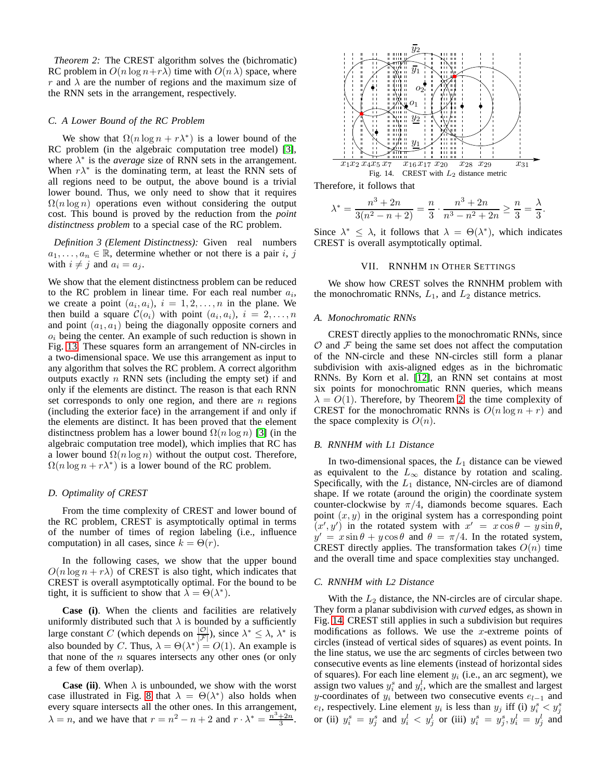*Theorem 2:* The CREST algorithm solves the (bichromatic) RC problem in  $O(n \log n + r\lambda)$  time with  $O(n \lambda)$  space, where r and  $\lambda$  are the number of regions and the maximum size of the RNN sets in the arrangement, respectively.

## *C. A Lower Bound of the RC Problem*

We show that  $\Omega(n \log n + r\lambda^*)$  is a lower bound of the RC problem (in the algebraic computation tree model) [\[3\]](#page-11-30), where  $\lambda^*$  is the *average* size of RNN sets in the arrangement. When  $r\lambda^*$  is the dominating term, at least the RNN sets of all regions need to be output, the above bound is a trivial lower bound. Thus, we only need to show that it requires  $\Omega(n \log n)$  operations even without considering the output cost. This bound is proved by the reduction from the *point distinctness problem* to a special case of the RC problem.

*Definition 3 (Element Distinctness):* Given real numbers  $a_1, \ldots, a_n \in \mathbb{R}$ , determine whether or not there is a pair i, j with  $i \neq j$  and  $a_i = a_j$ .

We show that the element distinctness problem can be reduced to the RC problem in linear time. For each real number  $a_i$ , we create a point  $(a_i, a_i)$ ,  $i = 1, 2, \ldots, n$  in the plane. We then build a square  $\mathcal{C}(o_i)$  with point  $(a_i, a_i)$ ,  $i = 2, \ldots, n$ and point  $(a_1, a_1)$  being the diagonally opposite corners and  $o_i$  being the center. An example of such reduction is shown in Fig. [13.](#page-7-3) These squares form an arrangement of NN-circles in a two-dimensional space. We use this arrangement as input to any algorithm that solves the RC problem. A correct algorithm outputs exactly  $n$  RNN sets (including the empty set) if and only if the elements are distinct. The reason is that each RNN set corresponds to only one region, and there are  $n$  regions (including the exterior face) in the arrangement if and only if the elements are distinct. It has been proved that the element distinctness problem has a lower bound  $\Omega(n \log n)$  [\[3\]](#page-11-30) (in the algebraic computation tree model), which implies that RC has a lower bound  $\Omega(n \log n)$  without the output cost. Therefore,  $\Omega(n \log n + r\lambda^*)$  is a lower bound of the RC problem.

# *D. Optimality of CREST*

From the time complexity of CREST and lower bound of the RC problem, CREST is asymptotically optimal in terms of the number of times of region labeling (i.e., influence computation) in all cases, since  $k = \Theta(r)$ .

In the following cases, we show that the upper bound  $O(n \log n + r\lambda)$  of CREST is also tight, which indicates that CREST is overall asymptotically optimal. For the bound to be tight, it is sufficient to show that  $\lambda = \Theta(\lambda^*)$ .

**Case (i)**. When the clients and facilities are relatively uniformly distributed such that  $\lambda$  is bounded by a sufficiently large constant C (which depends on  $\frac{|\mathcal{O}|}{|\mathcal{F}|}$ ), since  $\lambda^* \leq \lambda$ ,  $\lambda^*$  is also bounded by C. Thus,  $\lambda = \Theta(\lambda^*) = O(1)$ . An example is that none of the  $n$  squares intersects any other ones (or only a few of them overlap).

**Case (ii)**. When  $\lambda$  is unbounded, we show with the worst case illustrated in Fig. [8](#page-4-1) that  $\lambda = \Theta(\lambda^*)$  also holds when every square intersects all the other ones. In this arrangement,  $\lambda = n$ , and we have that  $r = n^2 - n + 2$  and  $r \cdot \lambda^* = \frac{n^3 + 2n}{3}$ .



Therefore, it follows that

<span id="page-8-1"></span>
$$
\lambda^* = \frac{n^3 + 2n}{3(n^2 - n + 2)} = \frac{n}{3} \cdot \frac{n^3 + 2n}{n^3 - n^2 + 2n} \ge \frac{n}{3} = \frac{\lambda}{3}.
$$

<span id="page-8-0"></span>Since  $\lambda^* \leq \lambda$ , it follows that  $\lambda = \Theta(\lambda^*)$ , which indicates CREST is overall asymptotically optimal.

## VII. RNNHM IN OTHER SETTINGS

We show how CREST solves the RNNHM problem with the monochromatic RNNs,  $L_1$ , and  $L_2$  distance metrics.

## *A. Monochromatic RNNs*

CREST directly applies to the monochromatic RNNs, since  $\mathcal O$  and  $\mathcal F$  being the same set does not affect the computation of the NN-circle and these NN-circles still form a planar subdivision with axis-aligned edges as in the bichromatic RNNs. By Korn et al. [\[12\]](#page-11-0), an RNN set contains at most six points for monochromatic RNN queries, which means  $\lambda = O(1)$ . Therefore, by Theorem [2,](#page-7-4) the time complexity of CREST for the monochromatic RNNs is  $O(n \log n + r)$  and the space complexity is  $O(n)$ .

# *B. RNNHM with L1 Distance*

In two-dimensional spaces, the  $L_1$  distance can be viewed as equivalent to the  $L_{\infty}$  distance by rotation and scaling. Specifically, with the  $L_1$  distance, NN-circles are of diamond shape. If we rotate (around the origin) the coordinate system counter-clockwise by  $\pi/4$ , diamonds become squares. Each point  $(x, y)$  in the original system has a corresponding point  $(x', y')$  in the rotated system with  $x' = x \cos \theta - y \sin \theta$ ,  $y' = x \sin \theta + y \cos \theta$  and  $\theta = \pi/4$ . In the rotated system, CREST directly applies. The transformation takes  $O(n)$  time and the overall time and space complexities stay unchanged.

## <span id="page-8-2"></span>*C. RNNHM with L2 Distance*

With the  $L_2$  distance, the NN-circles are of circular shape. They form a planar subdivision with *curved* edges, as shown in Fig. [14.](#page-8-1) CREST still applies in such a subdivision but requires modifications as follows. We use the x-extreme points of circles (instead of vertical sides of squares) as event points. In the line status, we use the arc segments of circles between two consecutive events as line elements (instead of horizontal sides of squares). For each line element  $y_i$  (i.e., an arc segment), we assign two values  $y_i^s$  and  $y_i^l$ , which are the smallest and largest y-coordinates of  $y_i$  between two consecutive events  $e_{l-1}$  and  $e_l$ , respectively. Line element  $y_i$  is less than  $y_j$  iff (i)  $y_i^s < y_j^s$ or (ii)  $y_i^s = y_j^s$  and  $y_i^l < y_j^l$  or (iii)  $y_i^s = y_j^s, y_i^l = y_j^l$  and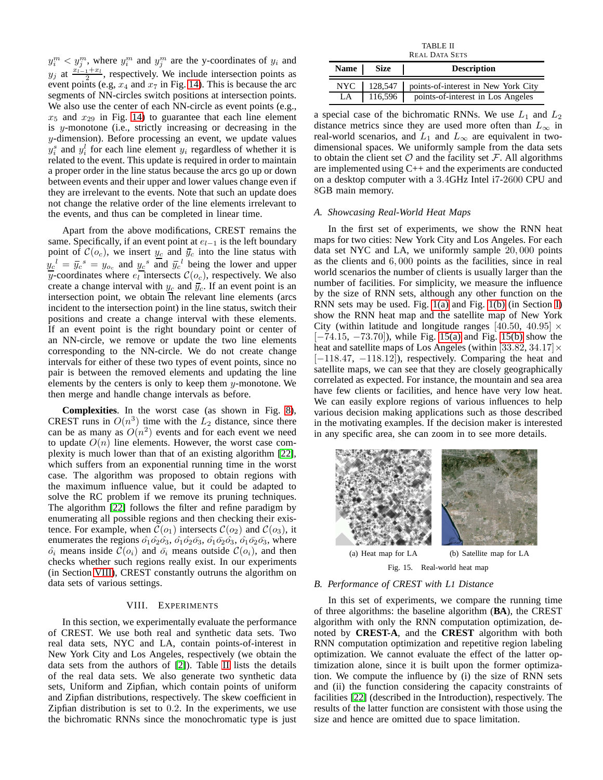$y_i^m < y_j^m$ , where  $y_i^m$  and  $y_j^m$  are the y-coordinates of  $y_i$  and  $y_j$  at  $\frac{x_{i-1}+x_i}{2}$ , respectively. We include intersection points as event points (e.g,  $x_4$  and  $x_7$  in Fig. [14\)](#page-8-1). This is because the arc segments of NN-circles switch positions at intersection points. We also use the center of each NN-circle as event points (e.g.,  $x_5$  and  $x_{29}$  in Fig. [14\)](#page-8-1) to guarantee that each line element is y-monotone (i.e., strictly increasing or decreasing in the y-dimension). Before processing an event, we update values  $y_i^s$  and  $y_i^l$  for each line element  $y_i$  regardless of whether it is related to the event. This update is required in order to maintain a proper order in the line status because the arcs go up or down between events and their upper and lower values change even if they are irrelevant to the events. Note that such an update does not change the relative order of the line elements irrelevant to the events, and thus can be completed in linear time.

Apart from the above modifications, CREST remains the same. Specifically, if an event point at  $e_{l-1}$  is the left boundary point of  $C(o_c)$ , we insert  $y_c$  and  $\bar{y}_c$  into the line status with  $y_c^{\ d} = \bar{y}_c^{\ s} = y_{o_c}$  and  $y_c^{\ s}$  and  $\bar{y}_c^{\ d}$  being the lower and upper y-coordinates where  $e_l$  intersects  $\mathcal{C}(o_c)$ , respectively. We also create a change interval with  $y_c$  and  $\overline{y}_c$ . If an event point is an intersection point, we obtain the relevant line elements (arcs incident to the intersection point) in the line status, switch their positions and create a change interval with these elements. If an event point is the right boundary point or center of an NN-circle, we remove or update the two line elements corresponding to the NN-circle. We do not create change intervals for either of these two types of event points, since no pair is between the removed elements and updating the line elements by the centers is only to keep them  $y$ -monotone. We then merge and handle change intervals as before.

**Complexities**. In the worst case (as shown in Fig. [8\)](#page-4-1), CREST runs in  $O(n^3)$  time with the  $L_2$  distance, since there can be as many as  $O(n^2)$  events and for each event we need to update  $O(n)$  line elements. However, the worst case complexity is much lower than that of an existing algorithm [\[22\]](#page-11-1), which suffers from an exponential running time in the worst case. The algorithm was proposed to obtain regions with the maximum influence value, but it could be adapted to solve the RC problem if we remove its pruning techniques. The algorithm [\[22\]](#page-11-1) follows the filter and refine paradigm by enumerating all possible regions and then checking their existence. For example, when  $\mathcal{C}(o_1)$  intersects  $\mathcal{C}(o_2)$  and  $\mathcal{C}(o_3)$ , it enumerates the regions  $\hat{o}_1 \hat{o}_2 \hat{o}_3$ ,  $\hat{o}_1 \hat{o}_2 \hat{o}_3$ ,  $\hat{o}_1 \hat{o}_2 \hat{o}_3$ ,  $\hat{o}_1 \hat{o}_2 \hat{o}_3$ , where  $\hat{o}_i$  means inside  $\mathcal{C}(o_i)$  and  $\bar{o}_i$  means outside  $\mathcal{C}(o_i)$ , and then checks whether such regions really exist. In our experiments (in Section [VIII\)](#page-9-0), CREST constantly outruns the algorithm on data sets of various settings.

## VIII. EXPERIMENTS

<span id="page-9-0"></span>In this section, we experimentally evaluate the performance of CREST. We use both real and synthetic data sets. Two real data sets, NYC and LA, contain points-of-interest in New York City and Los Angeles, respectively (we obtain the data sets from the authors of [\[2\]](#page-11-31)). Table [II](#page-9-1) lists the details of the real data sets. We also generate two synthetic data sets, Uniform and Zipfian, which contain points of uniform and Zipfian distributions, respectively. The skew coefficient in Zipfian distribution is set to 0.2. In the experiments, we use the bichromatic RNNs since the monochromatic type is just

TABLE II REAL DATA SETS

<span id="page-9-1"></span>

|    | Name   Size | <b>Description</b>                                  |
|----|-------------|-----------------------------------------------------|
|    |             | NYC   128,547   points-of-interest in New York City |
| LA | $116,596$   | points-of-interest in Los Angeles                   |

a special case of the bichromatic RNNs. We use  $L_1$  and  $L_2$ distance metrics since they are used more often than  $L_{\infty}$  in real-world scenarios, and  $L_1$  and  $L_\infty$  are equivalent in twodimensional spaces. We uniformly sample from the data sets to obtain the client set  $\mathcal O$  and the facility set  $\mathcal F$ . All algorithms are implemented using C++ and the experiments are conducted on a desktop computer with a 3.4GHz Intel i7-2600 CPU and 8GB main memory.

#### *A. Showcasing Real-World Heat Maps*

In the first set of experiments, we show the RNN heat maps for two cities: New York City and Los Angeles. For each data set NYC and LA, we uniformly sample 20, 000 points as the clients and 6, 000 points as the facilities, since in real world scenarios the number of clients is usually larger than the number of facilities. For simplicity, we measure the influence by the size of RNN sets, although any other function on the RNN sets may be used. Fig. [1\(a\)](#page-0-0) and Fig. [1\(b\)](#page-0-1) (in Section [I\)](#page-0-2) show the RNN heat map and the satellite map of New York City (within latitude and longitude ranges [40.50, 40.95]  $\times$ [−74.15, −73.70]), while Fig. [15\(a\)](#page-9-2) and Fig. [15\(b\)](#page-9-3) show the heat and satellite maps of Los Angeles (within [33.82, 34.17] $\times$  $[-118.47, -118.12]$ , respectively. Comparing the heat and satellite maps, we can see that they are closely geographically correlated as expected. For instance, the mountain and sea area have few clients or facilities, and hence have very low heat. We can easily explore regions of various influences to help various decision making applications such as those described in the motivating examples. If the decision maker is interested in any specific area, she can zoom in to see more details.

<span id="page-9-2"></span>

<span id="page-9-3"></span>Fig. 15. Real-world heat map

#### *B. Performance of CREST with L1 Distance*

In this set of experiments, we compare the running time of three algorithms: the baseline algorithm (**BA**), the CREST algorithm with only the RNN computation optimization, denoted by **CREST-A**, and the **CREST** algorithm with both RNN computation optimization and repetitive region labeling optimization. We cannot evaluate the effect of the latter optimization alone, since it is built upon the former optimization. We compute the influence by (i) the size of RNN sets and (ii) the function considering the capacity constraints of facilities [\[22\]](#page-11-1) (described in the Introduction), respectively. The results of the latter function are consistent with those using the size and hence are omitted due to space limitation.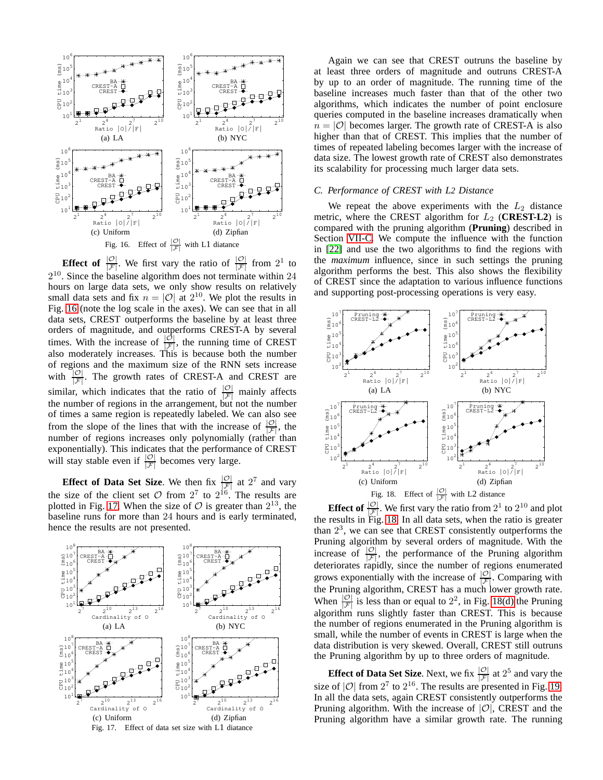

<span id="page-10-0"></span>**Effect of**  $\frac{|\mathcal{O}|}{|\mathcal{F}|}$ . We first vary the ratio of  $\frac{|\mathcal{O}|}{|\mathcal{F}|}$  from  $2^1$  to  $2^{10}$ . Since the baseline algorithm does not terminate within  $24$ hours on large data sets, we only show results on relatively small data sets and fix  $n = |O|$  at  $2^{10}$ . We plot the results in Fig. [16](#page-10-0) (note the log scale in the axes). We can see that in all data sets, CREST outperforms the baseline by at least three orders of magnitude, and outperforms CREST-A by several times. With the increase of  $\frac{|\mathcal{O}|}{|\mathcal{F}|}$ , the running time of CREST also moderately increases. This is because both the number of regions and the maximum size of the RNN sets increase with  $\frac{|\mathcal{O}|}{|\mathcal{F}|}$ . The growth rates of CREST-A and CREST are similar, which indicates that the ratio of  $\frac{|\mathcal{O}|}{|\mathcal{F}|}$  mainly affects the number of regions in the arrangement, but not the number of times a same region is repeatedly labeled. We can also see from the slope of the lines that with the increase of  $\frac{|\mathcal{O}|}{|\mathcal{F}|}$ , the number of regions increases only polynomially (rather than exponentially). This indicates that the performance of CREST will stay stable even if  $\frac{|\mathcal{O}|}{|\mathcal{F}|}$  becomes very large.

**Effect of Data Set Size**. We then fix  $\frac{|\mathcal{O}|}{|\mathcal{F}|}$  at  $2^7$  and vary the size of the client set  $\mathcal O$  from  $2^7$  to  $2^{16}$ . The results are plotted in Fig. [17.](#page-10-1) When the size of  $\mathcal{O}$  is greater than  $2^{13}$ , the baseline runs for more than 24 hours and is early terminated, hence the results are not presented.



Again we can see that CREST outruns the baseline by at least three orders of magnitude and outruns CREST-A by up to an order of magnitude. The running time of the baseline increases much faster than that of the other two algorithms, which indicates the number of point enclosure queries computed in the baseline increases dramatically when  $n = |O|$  becomes larger. The growth rate of CREST-A is also higher than that of CREST. This implies that the number of times of repeated labeling becomes larger with the increase of data size. The lowest growth rate of CREST also demonstrates its scalability for processing much larger data sets.

#### *C. Performance of CREST with L2 Distance*

We repeat the above experiments with the  $L_2$  distance metric, where the CREST algorithm for  $L_2$  (**CREST-L2**) is compared with the pruning algorithm (**Pruning**) described in Section [VII-C.](#page-8-2) We compute the influence with the function in [\[22\]](#page-11-1) and use the two algorithms to find the regions with the *maximum* influence, since in such settings the pruning algorithm performs the best. This also shows the flexibility of CREST since the adaptation to various influence functions and supporting post-processing operations is very easy.



<span id="page-10-3"></span><span id="page-10-2"></span>**Effect of**  $\frac{|\mathcal{O}|}{|\mathcal{F}|}$ . We first vary the ratio from  $2^1$  to  $2^{10}$  and plot the results in Fig. [18.](#page-10-2) In all data sets, when the ratio is greater than  $2<sup>3</sup>$ , we can see that CREST consistently outperforms the Pruning algorithm by several orders of magnitude. With the increase of  $\frac{|\mathcal{O}|}{|\mathcal{F}|}$ , the performance of the Pruning algorithm deteriorates rapidly, since the number of regions enumerated grows exponentially with the increase of  $\frac{|\mathcal{O}|}{|\mathcal{F}|}$ . Comparing with the Pruning algorithm, CREST has a much lower growth rate. When  $\frac{|\mathcal{O}|}{|\mathcal{F}|}$  is less than or equal to  $2^2$ , in Fig. [18\(d\)](#page-10-3) the Pruning algorithm runs slightly faster than CREST. This is because the number of regions enumerated in the Pruning algorithm is small, while the number of events in CREST is large when the data distribution is very skewed. Overall, CREST still outruns the Pruning algorithm by up to three orders of magnitude.

<span id="page-10-1"></span>**Effect of Data Set Size**. Next, we fix  $\frac{|\mathcal{O}|}{|\mathcal{F}|}$  at  $2^5$  and vary the size of  $|O|$  from  $2^7$  to  $2^{16}$ . The results are presented in Fig. [19.](#page-11-32) In all the data sets, again CREST consistently outperforms the Pruning algorithm. With the increase of  $|O|$ , CREST and the Pruning algorithm have a similar growth rate. The running